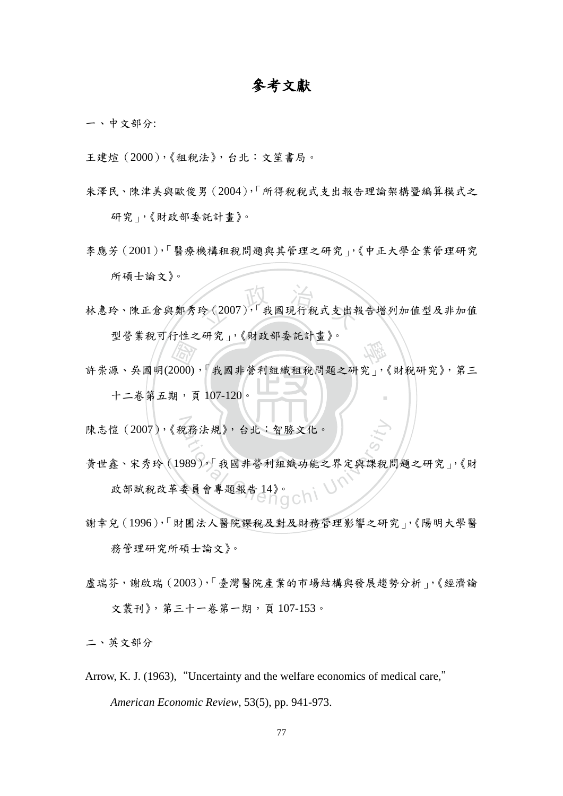## 參考文獻

一、中文部分:

王建煊(2000),《租稅法》,台北:文笙書局。

- 朱澤民、陳津美與歐俊男(2004),「所得稅稅式支出報告理論架構暨編算模式之 研究」,《財政部委託計畫》。
- 李應芳(2001),「醫療機構租稅問題與其管理之研究」,《中正大學企業管理研究 所碩士論文》。
- 玲 (2007),「我國現行稅式支出幸 林惠玲、陳正倉與鄭秀玲(2007),「我國現行稅式支出報告增列加值型及非加值 型營業稅可行性之研究」,《財政部委託計畫》。
- 十二卷第五期,頁 107-120。 3月20日、《六六十文 534年》<br>2000), 我國非營利組織租稅問題之研究」, ‧ 許崇源、吳國明(2000),「我國非營利組織租稅問題之研究」,《財稅研究》,第三
- N 陳志愷(2007),《稅務法規》,台北:智勝文化。
- え務法規》,台北:智勝文化。<br>289),「我國非營利組織功能之界定與課稅<br>委員會專題報告14》。<br> 黃世鑫、宋秀玲(1989),「我國非營利組織功能之界定與課稅問題之研究」,《財 政部賦稅改革委員會專題報告 14》。
- 謝幸兒(1996),「財團法人醫院課稅及對及財務管理影響之研究」,《陽明大學醫 務管理研究所碩士論文》。
- 盧瑞芬,謝啟瑞(2003),「臺灣醫院產業的市場結構與發展趨勢分析」,《經濟論 文叢刊》, 第三十一卷第一期, 頁107-153。

二、英文部分

Arrow, K. J. (1963), "Uncertainty and the welfare economics of medical care," *American Economic Review*, 53(5), pp. 941-973.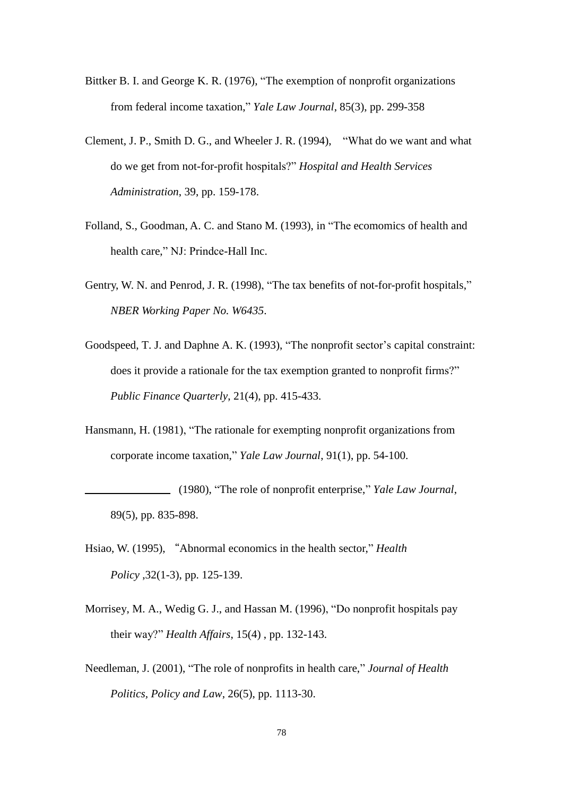- Bittker B. I. and George K. R. (1976), "The exemption of nonprofit organizations from federal income taxation," *Yale Law Journal*, 85(3), pp. 299-358
- Clement, J. P., Smith D. G., and Wheeler J. R. (1994), "What do we want and what do we get from not-for-profit hospitals?" *Hospital and Health Services Administration*, 39, pp. 159-178.
- Folland, S., Goodman, A. C. and Stano M. (1993), in "The ecomomics of health and health care," NJ: Prindce-Hall Inc.
- Gentry, W. N. and Penrod, J. R. (1998), "The tax benefits of not-for-profit hospitals," *NBER Working Paper No. W6435*.
- Goodspeed, T. J. and Daphne A. K. (1993), "The nonprofit sector's capital constraint: does it provide a rationale for the tax exemption granted to nonprofit firms?" *Public Finance Quarterly*, 21(4), pp. 415-433.
- Hansmann, H. (1981), "The rationale for exempting nonprofit organizations from corporate income taxation," *Yale Law Journal*, 91(1), pp. 54-100.
- (1980), "The role of nonprofit enterprise," *Yale Law Journal*, 89(5), pp. 835-898.
- Hsiao, W. (1995), "Abnormal economics in the health sector," *Health Policy* ,32(1-3), pp. 125-139.
- Morrisey, M. A., Wedig G. J., and Hassan M. (1996), "Do nonprofit hospitals pay their way?" *Health Affairs*, 15(4) , pp. 132-143.
- Needleman, J. (2001), "The role of nonprofits in health care," *Journal of Health Politics, Policy and Law*, 26(5), pp. 1113-30.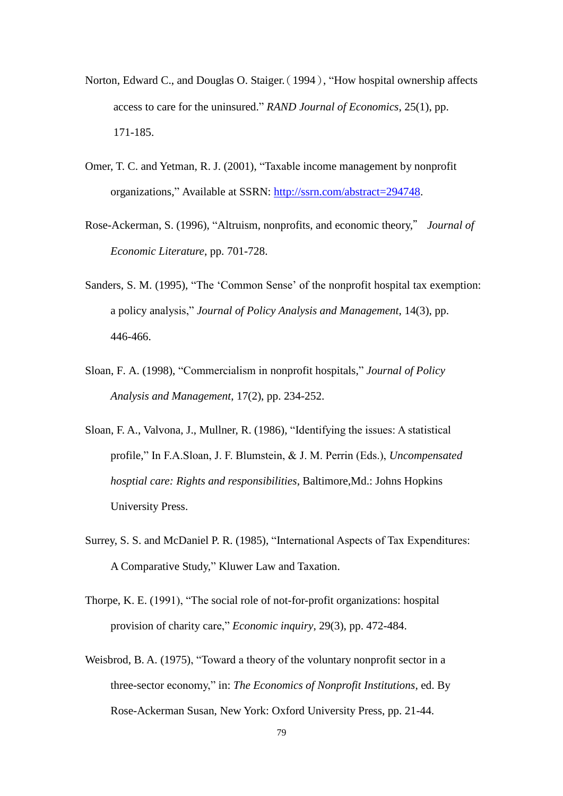- Norton, Edward C., and Douglas O. Staiger.(1994), "How hospital ownership affects access to care for the uninsured." *RAND Journal of Economics*, 25(1), pp. 171-185.
- Omer, T. C. and Yetman, R. J. (2001), "Taxable income management by nonprofit organizations," Available at SSRN: [http://ssrn.com/abstract=294748.](http://ssrn.com/abstract=294748)
- Rose-Ackerman, S. (1996), "Altruism, nonprofits, and economic theory," *Journal of Economic Literature*, pp. 701-728.
- Sanders, S. M. (1995), "The 'Common Sense' of the nonprofit hospital tax exemption: a policy analysis," *Journal of Policy Analysis and Management*, 14(3), pp. 446-466.
- Sloan, F. A. (1998), "Commercialism in nonprofit hospitals," *Journal of Policy Analysis and Management*, 17(2), pp. 234-252.
- Sloan, F. A., Valvona, J., Mullner, R. (1986), "Identifying the issues: A statistical profile," In F.A.Sloan, J. F. Blumstein, & J. M. Perrin (Eds.), *Uncompensated hosptial care: Rights and responsibilities*, Baltimore,Md.: Johns Hopkins University Press.
- Surrey, S. S. and McDaniel P. R. (1985), "International Aspects of Tax Expenditures: A Comparative Study," Kluwer Law and Taxation.
- Thorpe, K. E. (1991), "The social role of not-for-profit organizations: hospital provision of charity care," *Economic inquiry*, 29(3), pp. 472-484.
- Weisbrod, B. A. (1975), "Toward a theory of the voluntary nonprofit sector in a three-sector economy," in: *The Economics of Nonprofit Institutions*, ed. By Rose-Ackerman Susan, New York: Oxford University Press, pp. 21-44.